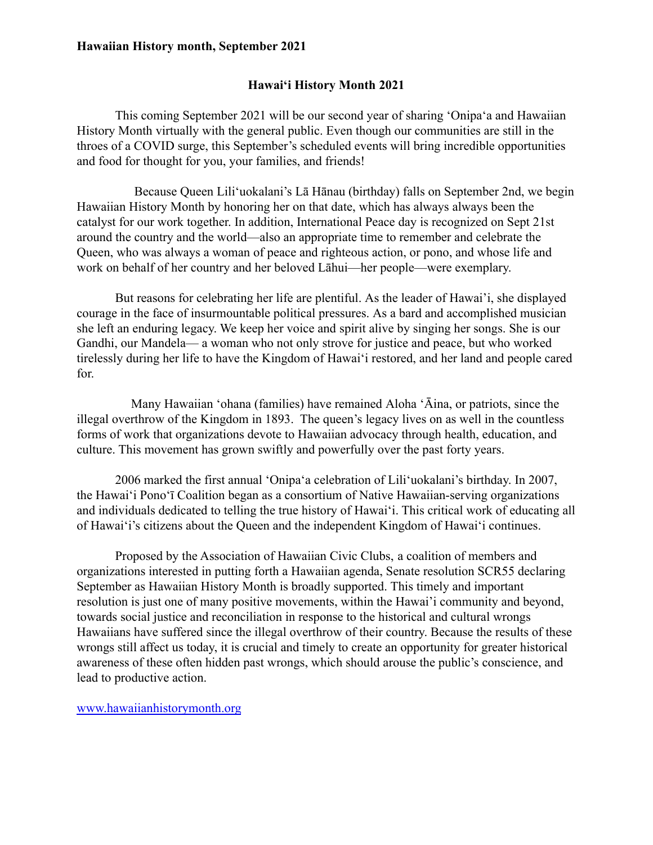## **Hawaiian History month, September 2021**

# **Hawai'i History Month 2021**

This coming September 2021 will be our second year of sharing 'Onipa'a and Hawaiian History Month virtually with the general public. Even though our communities are still in the throes of a COVID surge, this September's scheduled events will bring incredible opportunities and food for thought for you, your families, and friends!

Because Queen Liliʿuokalani's Lā Hānau (birthday) falls on September 2nd, we begin Hawaiian History Month by honoring her on that date, which has always always been the catalyst for our work together. In addition, International Peace day is recognized on Sept 21st around the country and the world—also an appropriate time to remember and celebrate the Queen, who was always a woman of peace and righteous action, or pono, and whose life and work on behalf of her country and her beloved Lāhui—her people—were exemplary.

But reasons for celebrating her life are plentiful. As the leader of Hawai'i, she displayed courage in the face of insurmountable political pressures. As a bard and accomplished musician she left an enduring legacy. We keep her voice and spirit alive by singing her songs. She is our Gandhi, our Mandela— a woman who not only strove for justice and peace, but who worked tirelessly during her life to have the Kingdom of Hawai<sup>'</sup> i restored, and her land and people cared for.

Many Hawaiian 'ohana (families) have remained Aloha 'Āina, or patriots, since the illegal overthrow of the Kingdom in 1893. The queen's legacy lives on as well in the countless forms of work that organizations devote to Hawaiian advocacy through health, education, and culture. This movement has grown swiftly and powerfully over the past forty years.

2006 marked the first annual 'Onipa'a celebration of Lili'uokalani's birthday. In 2007, the Hawai´i Pono´ī Coalition began as a consortium of Native Hawaiian-serving organizations and individuals dedicated to telling the true history of Hawai´i. This critical work of educating all of Hawaiʻi's citizens about the Queen and the independent Kingdom of Hawaiʻi continues.

Proposed by the Association of Hawaiian Civic Clubs, a coalition of members and organizations interested in putting forth a Hawaiian agenda, Senate resolution SCR55 declaring September as Hawaiian History Month is broadly supported. This timely and important resolution is just one of many positive movements, within the Hawai'i community and beyond, towards social justice and reconciliation in response to the historical and cultural wrongs Hawaiians have suffered since the illegal overthrow of their country. Because the results of these wrongs still affect us today, it is crucial and timely to create an opportunity for greater historical awareness of these often hidden past wrongs, which should arouse the public's conscience, and lead to productive action.

www.hawaiianhistorymonth.org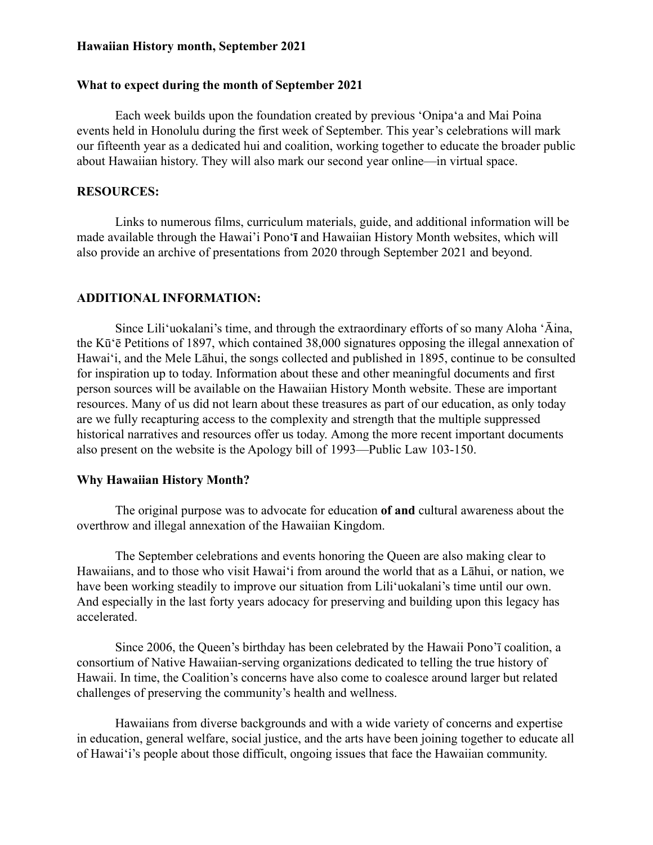### **Hawaiian History month, September 2021**

#### What to expect during the month of September 2021

Each week builds upon the foundation created by previous 'Onipa'a and Mai Poina events held in Honolulu during the first week of September. This year's celebrations will mark our fifteenth year as a dedicated hui and coalition, working together to educate the broader public about Hawaiian history. They will also mark our second year online—in virtual space.

### **RESOURCES:**

Links to numerous films, curriculum materials, guide, and additional information will be made available through the Hawai'i Pono**<sup>t</sup>** and Hawaiian History Month websites, which will also provide an archive of presentations from 2020 through September 2021 and beyond.

#### **ADDITIONAL INFORMATION:**

Since Lili´uokalani's time, and through the extraordinary efforts of so many Aloha  $\hat{A}$ ina, the K $\bar{u}$ <sup> $\bar{e}$ </sup> Petitions of 1897, which contained 38,000 signatures opposing the illegal annexation of Hawai'i, and the Mele Lāhui, the songs collected and published in 1895, continue to be consulted for inspiration up to today. Information about these and other meaningful documents and first person sources will be available on the Hawaiian History Month website. These are important resources. Many of us did not learn about these treasures as part of our education, as only today are we fully recapturing access to the complexity and strength that the multiple suppressed historical narratives and resources offer us today. Among the more recent important documents also present on the website is the Apology bill of  $1993$ —Public Law 103-150.

#### **Why Hawaiian History Month?**

The original purpose was to advocate for education of and cultural awareness about the overthrow and illegal annexation of the Hawaiian Kingdom.

The September celebrations and events honoring the Queen are also making clear to Hawaiians, and to those who visit Hawai´i from around the world that as a Lahui, or nation, we have been working steadily to improve our situation from Lili'uokalani's time until our own. And especially in the last forty years adocacy for preserving and building upon this legacy has accelerated.

Since 2006, the Queen's birthday has been celebrated by the Hawaii Pono'ī coalition, a consortium of Native Hawaiian-serving organizations dedicated to telling the true history of Hawaii. In time, the Coalition's concerns have also come to coalesce around larger but related challenges of preserving the community's health and wellness.

Hawaiians from diverse backgrounds and with a wide variety of concerns and expertise in education, general welfare, social justice, and the arts have been joining together to educate all of Hawai $\hat{i}$  i's people about those difficult, ongoing issues that face the Hawaiian community.